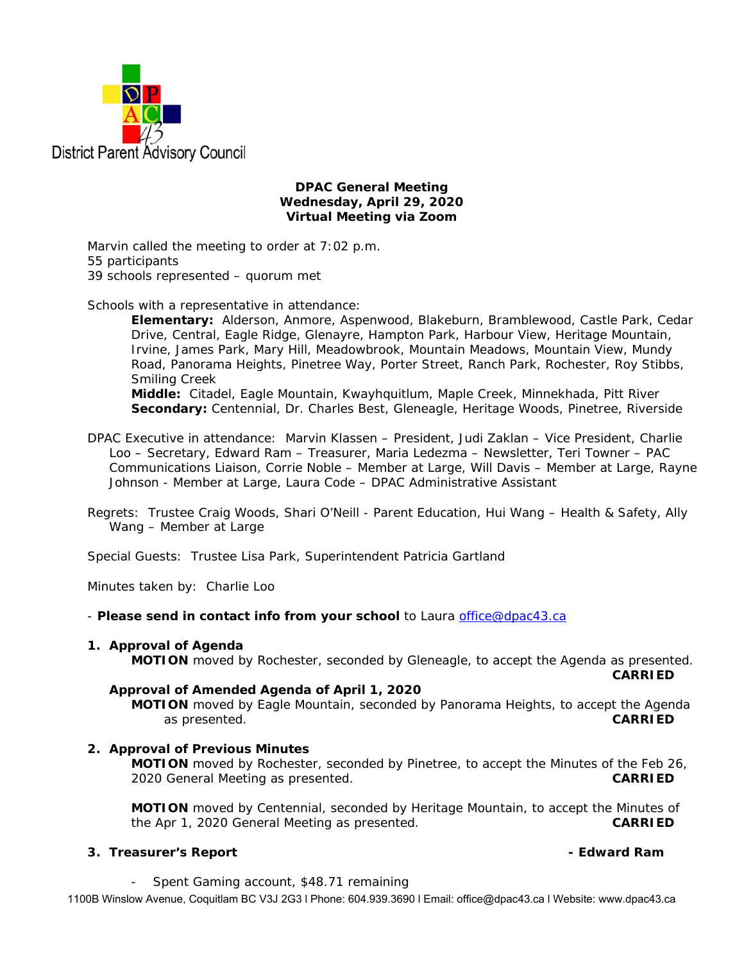

## **DPAC General Meeting Wednesday, April 29, 2020 Virtual Meeting via Zoom**

Marvin called the meeting to order at 7:02 p.m. 55 participants 39 schools represented – quorum met

Schools with a representative in attendance:

**Elementary:** Alderson, Anmore, Aspenwood, Blakeburn, Bramblewood, Castle Park, Cedar Drive, Central, Eagle Ridge, Glenayre, Hampton Park, Harbour View, Heritage Mountain, Irvine, James Park, Mary Hill, Meadowbrook, Mountain Meadows, Mountain View, Mundy Road, Panorama Heights, Pinetree Way, Porter Street, Ranch Park, Rochester, Roy Stibbs, Smiling Creek

**Middle:** Citadel, Eagle Mountain, Kwayhquitlum, Maple Creek, Minnekhada, Pitt River **Secondary:** Centennial, Dr. Charles Best, Gleneagle, Heritage Woods, Pinetree, Riverside

- DPAC Executive in attendance: Marvin Klassen President, Judi Zaklan Vice President, Charlie Loo – Secretary, Edward Ram – Treasurer, Maria Ledezma – Newsletter, Teri Towner – PAC Communications Liaison, Corrie Noble – Member at Large, Will Davis – Member at Large, Rayne Johnson - Member at Large, Laura Code – DPAC Administrative Assistant
- Regrets: Trustee Craig Woods, Shari O'Neill Parent Education, Hui Wang Health & Safety, Ally Wang – Member at Large

Special Guests: Trustee Lisa Park, Superintendent Patricia Gartland

Minutes taken by: Charlie Loo

- *Please send in contact info from your school* to Laura office@dpac43.ca

## **1. Approval of Agenda**

**MOTION** moved by *Rochester*, seconded by *Gleneagle*, to accept the Agenda as presented.

**CARRIED** 

## **Approval of Amended Agenda of April 1, 2020**

**MOTION** moved by *Eagle Mountain*, seconded by *Panorama Heights*, to accept the Agenda as presented. **CARRIED** 

## **2. Approval of Previous Minutes**

 **MOTION** moved by *Rochester*, seconded by *Pinetree*, to accept the Minutes of the Feb 26, 2020 General Meeting as presented. **CARRIED** 

 **MOTION** moved by *Centennial*, seconded by *Heritage Mountain*, to accept the Minutes of the Apr 1, 2020 General Meeting as presented. **CARRIED** 

## **3. Treasurer's Report - Edward Ram**

Spent Gaming account, \$48.71 remaining

1100B Winslow Avenue, Coquitlam BC V3J 2G3 l Phone: 604.939.3690 l Email: office@dpac43.ca l Website: www.dpac43.ca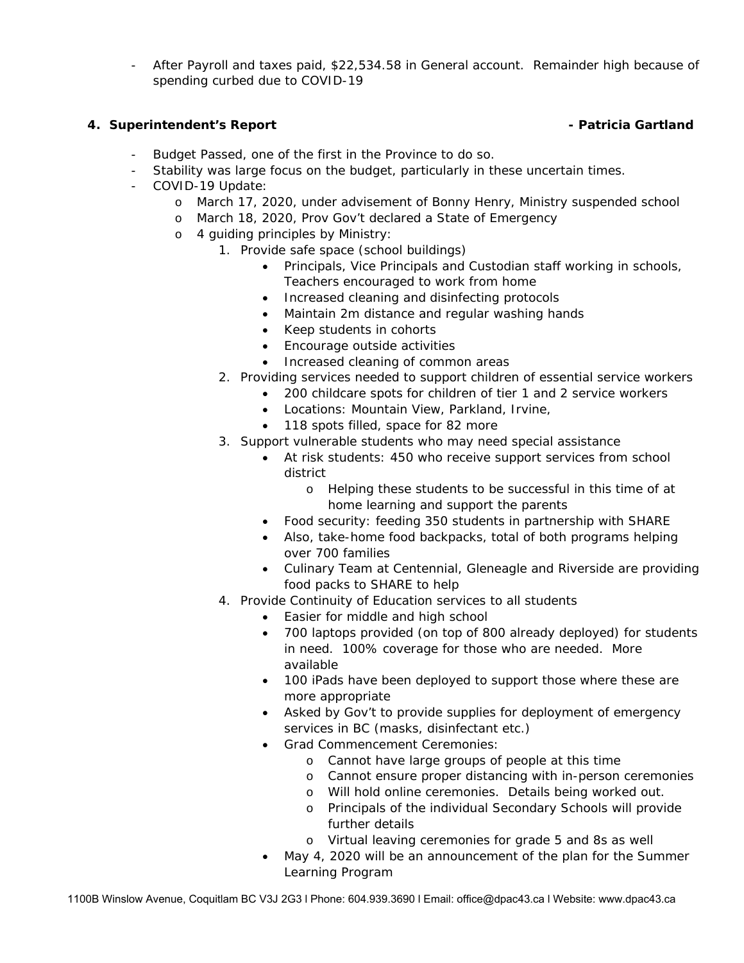- After Payroll and taxes paid, \$22,534.58 in General account. Remainder high because of spending curbed due to COVID-19

# **4.** Superintendent's Report **Constanting Constanting Constanting Constanting Constanting Constanting Constanting Constanting Constanting Constanting Constanting Constanting Constanting Constanting Constanting Constanting**

- Budget Passed, one of the first in the Province to do so.
- Stability was large focus on the budget, particularly in these uncertain times.
- COVID-19 Update:
	- o March 17, 2020, under advisement of Bonny Henry, Ministry suspended school
	- o March 18, 2020, Prov Gov't declared a State of Emergency
	- o 4 guiding principles by Ministry:
		- 1. Provide safe space (school buildings)
			- Principals, Vice Principals and Custodian staff working in schools, Teachers encouraged to work from home
			- Increased cleaning and disinfecting protocols
			- Maintain 2m distance and regular washing hands
			- Keep students in cohorts
			- Encourage outside activities
			- Increased cleaning of common areas
			- 2. Providing services needed to support children of essential service workers
				- 200 childcare spots for children of tier 1 and 2 service workers
					- Locations: Mountain View, Parkland, Irvine,
					- 118 spots filled, space for 82 more
			- 3. Support vulnerable students who may need special assistance
				- At risk students: 450 who receive support services from school district
					- o Helping these students to be successful in this time of at home learning and support the parents
				- Food security: feeding 350 students in partnership with SHARE
				- Also, take-home food backpacks, total of both programs helping over 700 families
				- Culinary Team at Centennial, Gleneagle and Riverside are providing food packs to SHARE to help
			- 4. Provide Continuity of Education services to all students
				- Easier for middle and high school
				- 700 laptops provided (on top of 800 already deployed) for students in need. 100% coverage for those who are needed. More available
				- 100 iPads have been deployed to support those where these are more appropriate
				- Asked by Gov't to provide supplies for deployment of emergency services in BC (masks, disinfectant etc.)
				- Grad Commencement Ceremonies:
					- o Cannot have large groups of people at this time
					- o Cannot ensure proper distancing with in-person ceremonies
					- o Will hold online ceremonies. Details being worked out.
					- o Principals of the individual Secondary Schools will provide further details
					- o Virtual leaving ceremonies for grade 5 and 8s as well
				- May 4, 2020 will be an announcement of the plan for the Summer Learning Program